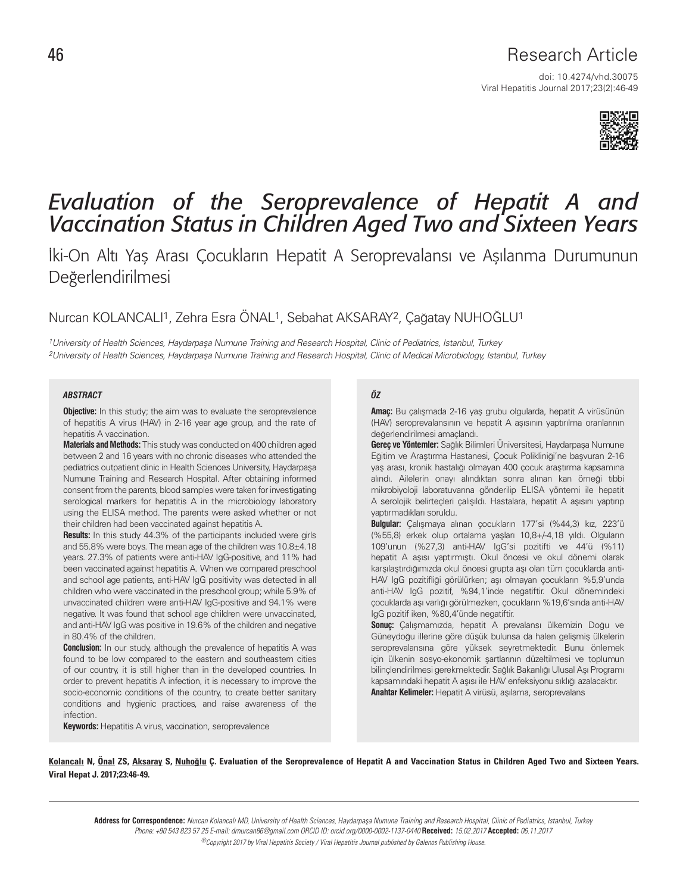## Research Article

doi: 10.4274/vhd.30075 Viral Hepatitis Journal 2017;23(2):46-49



# *Evaluation of the Seroprevalence of Hepatit A and Vaccination Status in Children Aged Two and Sixteen Years*

İki-On Altı Yaş Arası Çocukların Hepatit A Seroprevalansı ve Aşılanma Durumunun Değerlendirilmesi

## Nurcan KOLANCALI1, Zehra Esra ÖNAL1, Sebahat AKSARAY2, Çağatay NUHOĞLU1

1University of Health Sciences, Haydarpaşa Numune Training and Research Hospital, Clinic of Pediatrics, Istanbul, Turkey 2University of Health Sciences, Haydarpaşa Numune Training and Research Hospital, Clinic of Medical Microbiology, Istanbul, Turkey

#### *ABSTRACT ÖZ*

**Objective:** In this study; the aim was to evaluate the seroprevalence of hepatitis A virus (HAV) in 2-16 year age group, and the rate of hepatitis A vaccination.

**Materials and Methods:** This study was conducted on 400 children aged between 2 and 16 years with no chronic diseases who attended the pediatrics outpatient clinic in Health Sciences University, Haydarpaşa Numune Training and Research Hospital. After obtaining informed consent from the parents, blood samples were taken for investigating serological markers for hepatitis A in the microbiology laboratory using the ELISA method. The parents were asked whether or not their children had been vaccinated against hepatitis A.

**Results:** In this study 44.3% of the participants included were girls and 55.8% were boys. The mean age of the children was 10.8±4.18 years. 27.3% of patients were anti-HAV IgG-positive, and 11% had been vaccinated against hepatitis A. When we compared preschool and school age patients, anti-HAV IgG positivity was detected in all children who were vaccinated in the preschool group; while 5.9% of unvaccinated children were anti-HAV IgG-positive and 94.1% were negative. It was found that school age children were unvaccinated, and anti-HAV IgG was positive in 19.6% of the children and negative in 80.4% of the children.

**Conclusion:** In our study, although the prevalence of hepatitis A was found to be low compared to the eastern and southeastern cities of our country, it is still higher than in the developed countries. In order to prevent hepatitis A infection, it is necessary to improve the socio-economic conditions of the country, to create better sanitary conditions and hygienic practices, and raise awareness of the infection.

**Keywords:** Hepatitis A virus, vaccination, seroprevalence

**Amaç:** Bu çalışmada 2-16 yaş grubu olgularda, hepatit A virüsünün (HAV) seroprevalansının ve hepatit A aşısının yaptırılma oranlarının değerlendirilmesi amaçlandı.

**Gereç ve Yöntemler:** Sağlık Bilimleri Üniversitesi, Haydarpaşa Numune Eğitim ve Araştırma Hastanesi, Çocuk Polikliniği'ne başvuran 2-16 yaş arası, kronik hastalığı olmayan 400 çocuk araştırma kapsamına alındı. Ailelerin onayı alındıktan sonra alınan kan örneği tıbbi mikrobiyoloji laboratuvarına gönderilip ELISA yöntemi ile hepatit A serolojik belirteçleri çalışıldı. Hastalara, hepatit A aşısını yaptırıp yaptırmadıkları soruldu.

**Bulgular:** Çalışmaya alınan çocukların 177'si (%44,3) kız, 223'ü (%55,8) erkek olup ortalama yaşları 10,8+/-4,18 yıldı. Olguların 109'unun (%27,3) anti-HAV IgG'si pozitifti ve 44'ü (%11) hepatit A aşısı yaptırmıştı. Okul öncesi ve okul dönemi olarak karşılaştırdığımızda okul öncesi grupta aşı olan tüm çocuklarda anti-HAV IgG pozitifliği görülürken; aşı olmayan çocukların %5,9'unda anti-HAV IgG pozitif, %94,1'inde negatiftir. Okul dönemindeki çocuklarda aşı varlığı görülmezken, çocukların %19,6'sında anti-HAV IgG pozitif iken, %80,4'ünde negatiftir.

**Sonuç:** Çalışmamızda, hepatit A prevalansı ülkemizin Doğu ve Güneydoğu illerine göre düşük bulunsa da halen gelişmiş ülkelerin seroprevalansına göre yüksek seyretmektedir. Bunu önlemek için ülkenin sosyo-ekonomik şartlarının düzeltilmesi ve toplumun bilinçlendirilmesi gerekmektedir. Sağlık Bakanlığı Ulusal Aşı Programı kapsamındaki hepatit A aşısı ile HAV enfeksiyonu sıklığı azalacaktır. **Anahtar Kelimeler:** Hepatit A virüsü, aşılama, seroprevalans

Kolancalı N, Önal ZS, Aksaray S, Nuhoğlu Ç. Evaluation of the Seroprevalence of Hepatit A and Vaccination Status in Children Aged Two and Sixteen Years. Viral Hepat J. 2017;23:46-49.

**Address for Correspondence:** Nurcan Kolancalı MD, University of Health Sciences, Haydarpaşa Numune Training and Research Hospital, Clinic of Pediatrics, Istanbul, Turkey Phone: +90 543 823 57 25 E-mail: drnurcan86@gmail.com ORCID ID: orcid.org/0000-0002-1137-0440 **Received:** 15.02.2017 **Accepted:** 06.11.2017 ©Copyright 2017 by Viral Hepatitis Society / Viral Hepatitis Journal published by Galenos Publishing House.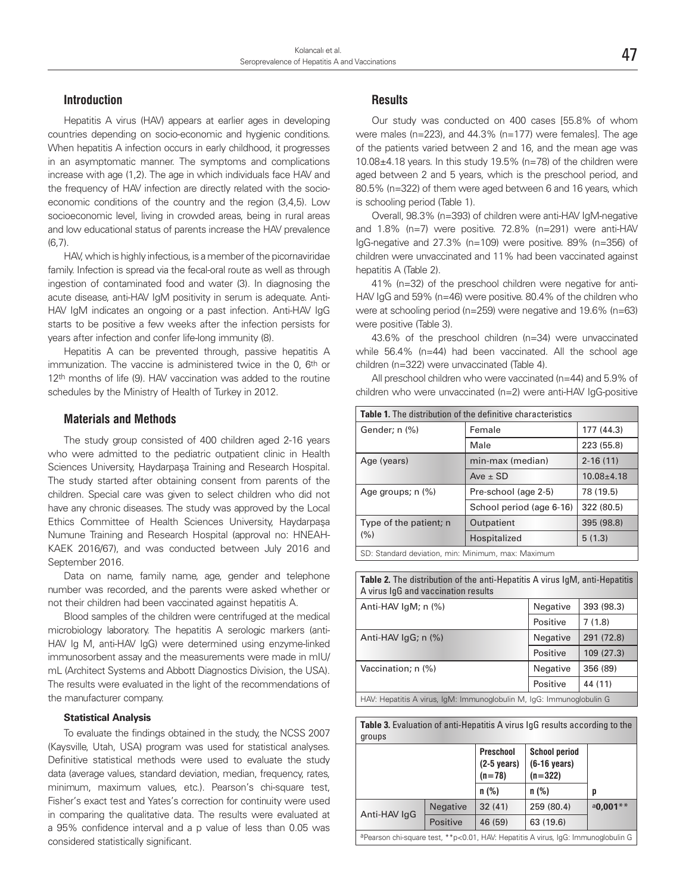#### **Introduction**

Hepatitis A virus (HAV) appears at earlier ages in developing countries depending on socio-economic and hygienic conditions. When hepatitis A infection occurs in early childhood, it progresses in an asymptomatic manner. The symptoms and complications increase with age (1,2). The age in which individuals face HAV and the frequency of HAV infection are directly related with the socioeconomic conditions of the country and the region (3,4,5). Low socioeconomic level, living in crowded areas, being in rural areas and low educational status of parents increase the HAV prevalence (6,7).

HAV, which is highly infectious, is a member of the picornaviridae family. Infection is spread via the fecal-oral route as well as through ingestion of contaminated food and water (3). In diagnosing the acute disease, anti-HAV IgM positivity in serum is adequate. Anti-HAV IgM indicates an ongoing or a past infection. Anti-HAV IgG starts to be positive a few weeks after the infection persists for years after infection and confer life-long immunity (8).

Hepatitis A can be prevented through, passive hepatitis A immunization. The vaccine is administered twice in the 0, 6<sup>th</sup> or 12<sup>th</sup> months of life (9). HAV vaccination was added to the routine schedules by the Ministry of Health of Turkey in 2012.

#### **Materials and Methods**

The study group consisted of 400 children aged 2-16 years who were admitted to the pediatric outpatient clinic in Health Sciences University, Haydarpaşa Training and Research Hospital. The study started after obtaining consent from parents of the children. Special care was given to select children who did not have any chronic diseases. The study was approved by the Local Ethics Committee of Health Sciences University, Haydarpaşa Numune Training and Research Hospital (approval no: HNEAH-KAEK 2016/67), and was conducted between July 2016 and September 2016.

Data on name, family name, age, gender and telephone number was recorded, and the parents were asked whether or not their children had been vaccinated against hepatitis A.

Blood samples of the children were centrifuged at the medical microbiology laboratory. The hepatitis A serologic markers (anti-HAV Ig M, anti-HAV IgG) were determined using enzyme-linked immunosorbent assay and the measurements were made in mIU/ mL (Architect Systems and Abbott Diagnostics Division, the USA). The results were evaluated in the light of the recommendations of the manufacturer company.

#### **Statistical Analysis**

To evaluate the findings obtained in the study, the NCSS 2007 (Kaysville, Utah, USA) program was used for statistical analyses. Definitive statistical methods were used to evaluate the study data (average values, standard deviation, median, frequency, rates, minimum, maximum values, etc.). Pearson's chi-square test, Fisher's exact test and Yates's correction for continuity were used in comparing the qualitative data. The results were evaluated at a 95% confidence interval and a p value of less than 0.05 was considered statistically significant.

### **Results**

Our study was conducted on 400 cases [55.8% of whom were males (n=223), and 44.3% (n=177) were females]. The age of the patients varied between 2 and 16, and the mean age was 10.08±4.18 years. In this study 19.5% (n=78) of the children were aged between 2 and 5 years, which is the preschool period, and 80.5% (n=322) of them were aged between 6 and 16 years, which is schooling period (Table 1).

Overall, 98.3% (n=393) of children were anti-HAV IgM-negative and 1.8% (n=7) were positive. 72.8% (n=291) were anti-HAV IgG-negative and 27.3% (n=109) were positive. 89% (n=356) of children were unvaccinated and 11% had been vaccinated against hepatitis A (Table 2).

41% (n=32) of the preschool children were negative for anti-HAV IgG and 59% (n=46) were positive. 80.4% of the children who were at schooling period (n=259) were negative and 19.6% (n=63) were positive (Table 3).

43.6% of the preschool children (n=34) were unvaccinated while 56.4% (n=44) had been vaccinated. All the school age children (n=322) were unvaccinated (Table 4).

All preschool children who were vaccinated (n=44) and 5.9% of children who were unvaccinated (n=2) were anti-HAV IgG-positive

| <b>Table 1.</b> The distribution of the definitive characteristics |                          |                |  |  |  |
|--------------------------------------------------------------------|--------------------------|----------------|--|--|--|
| Gender; n (%)                                                      | Female                   | 177 (44.3)     |  |  |  |
|                                                                    | Male                     | 223 (55.8)     |  |  |  |
| Age (years)                                                        | min-max (median)         | $2 - 16(11)$   |  |  |  |
|                                                                    | $Ave \pm SD$             | $10.08 + 4.18$ |  |  |  |
| Age groups; n (%)                                                  | Pre-school (age 2-5)     | 78 (19.5)      |  |  |  |
|                                                                    | School period (age 6-16) | 322 (80.5)     |  |  |  |
| Type of the patient; n                                             | Outpatient               | 395 (98.8)     |  |  |  |
| (%)                                                                | Hospitalized             | 5(1.3)         |  |  |  |
| SD: Standard deviation, min: Minimum, max: Maximum                 |                          |                |  |  |  |

| <b>Table 2.</b> The distribution of the anti-Hepatitis A virus IqM, anti-Hepatitis<br>A virus IgG and vaccination results |          |            |  |  |  |
|---------------------------------------------------------------------------------------------------------------------------|----------|------------|--|--|--|
| Anti-HAV $\lg M$ ; n $\left(\frac{9}{6}\right)$                                                                           | Negative | 393 (98.3) |  |  |  |
|                                                                                                                           | Positive | 7(1.8)     |  |  |  |
| Anti-HAV $\lg G$ ; n $\left(\frac{9}{6}\right)$                                                                           | Negative | 291 (72.8) |  |  |  |
|                                                                                                                           | Positive | 109(27.3)  |  |  |  |
| Vaccination; n (%)                                                                                                        | Negative | 356 (89)   |  |  |  |
|                                                                                                                           | Positive | 44 (11)    |  |  |  |
| HAV: Hepatitis A virus, IgM: Immunoglobulin M, IgG: Immunoglobulin G                                                      |          |            |  |  |  |

Table 3. Evaluation of anti-Hepatitis A virus IgG results according to the groups

|                                                                                               |                 | <b>Preschool</b><br>$(2-5$ years)<br>$(n=78)$ | <b>School period</b><br>$(6-16 \text{ years})$<br>$(n=322)$ |               |
|-----------------------------------------------------------------------------------------------|-----------------|-----------------------------------------------|-------------------------------------------------------------|---------------|
|                                                                                               |                 | $n$ (%)                                       | $n$ (%)                                                     | p             |
| Anti-HAV IgG                                                                                  | <b>Negative</b> | 32(41)                                        | 259 (80.4)                                                  | $a_{0.001**}$ |
|                                                                                               | <b>Positive</b> | 46 (59)                                       | 63 (19.6)                                                   |               |
| <sup>a</sup> Pearson chi-square test, **p<0.01, HAV: Hepatitis A virus, IqG: Immunoqlobulin G |                 |                                               |                                                             |               |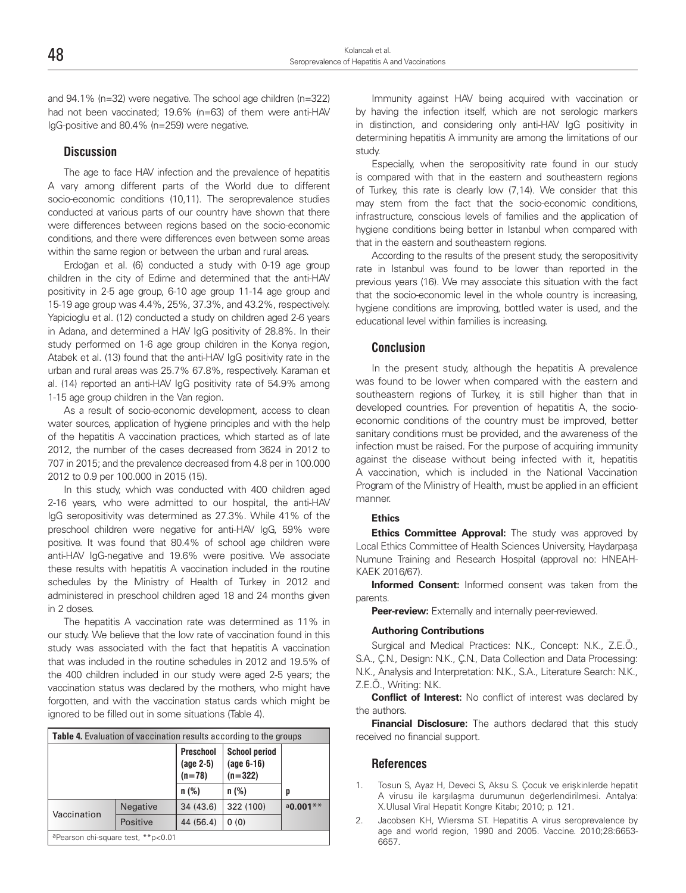and 94.1% (n=32) were negative. The school age children (n=322) had not been vaccinated; 19.6% (n=63) of them were anti-HAV IgG-positive and 80.4% (n=259) were negative.

#### **Discussion**

The age to face HAV infection and the prevalence of hepatitis A vary among different parts of the World due to different socio-economic conditions (10,11). The seroprevalence studies conducted at various parts of our country have shown that there were differences between regions based on the socio-economic conditions, and there were differences even between some areas within the same region or between the urban and rural areas.

Erdoğan et al. (6) conducted a study with 0-19 age group children in the city of Edirne and determined that the anti-HAV positivity in 2-5 age group, 6-10 age group 11-14 age group and 15-19 age group was 4.4%, 25%, 37.3%, and 43.2%, respectively. Yapicioglu et al. (12) conducted a study on children aged 2-6 years in Adana, and determined a HAV IgG positivity of 28.8%. In their study performed on 1-6 age group children in the Konya region, Atabek et al. (13) found that the anti-HAV IgG positivity rate in the urban and rural areas was 25.7% 67.8%, respectively. Karaman et al. (14) reported an anti-HAV IgG positivity rate of 54.9% among 1-15 age group children in the Van region.

As a result of socio-economic development, access to clean water sources, application of hygiene principles and with the help of the hepatitis A vaccination practices, which started as of late 2012, the number of the cases decreased from 3624 in 2012 to 707 in 2015; and the prevalence decreased from 4.8 per in 100.000 2012 to 0.9 per 100.000 in 2015 (15).

In this study, which was conducted with 400 children aged 2-16 years, who were admitted to our hospital, the anti-HAV IgG seropositivity was determined as 27.3%. While 41% of the preschool children were negative for anti-HAV IgG, 59% were positive. It was found that 80.4% of school age children were anti-HAV IgG-negative and 19.6% were positive. We associate these results with hepatitis A vaccination included in the routine schedules by the Ministry of Health of Turkey in 2012 and administered in preschool children aged 18 and 24 months given in 2 doses.

The hepatitis A vaccination rate was determined as 11% in our study. We believe that the low rate of vaccination found in this study was associated with the fact that hepatitis A vaccination that was included in the routine schedules in 2012 and 19.5% of the 400 children included in our study were aged 2-5 years; the vaccination status was declared by the mothers, who might have forgotten, and with the vaccination status cards which might be ignored to be filled out in some situations (Table 4).

| <b>Table 4.</b> Evaluation of vaccination results according to the groups |          |                                    |                                                   |               |  |  |
|---------------------------------------------------------------------------|----------|------------------------------------|---------------------------------------------------|---------------|--|--|
|                                                                           |          | Preschool<br>(age 2-5)<br>$(n=78)$ | <b>School period</b><br>$(age 6-16)$<br>$(n=322)$ |               |  |  |
|                                                                           |          | $n$ (%)                            | $n$ (%)                                           | p             |  |  |
| Vaccination                                                               | Negative | 34(43.6)                           | 322 (100)                                         | $a_{0.001**}$ |  |  |
|                                                                           | Positive | 44 (56.4)                          | 0(0)                                              |               |  |  |
| <sup>a</sup> Pearson chi-square test, **p<0.01                            |          |                                    |                                                   |               |  |  |

Immunity against HAV being acquired with vaccination or by having the infection itself, which are not serologic markers in distinction, and considering only anti-HAV IgG positivity in determining hepatitis A immunity are among the limitations of our study.

Especially, when the seropositivity rate found in our study is compared with that in the eastern and southeastern regions of Turkey, this rate is clearly low (7,14). We consider that this may stem from the fact that the socio-economic conditions, infrastructure, conscious levels of families and the application of hygiene conditions being better in Istanbul when compared with that in the eastern and southeastern regions.

According to the results of the present study, the seropositivity rate in Istanbul was found to be lower than reported in the previous years (16). We may associate this situation with the fact that the socio-economic level in the whole country is increasing, hygiene conditions are improving, bottled water is used, and the educational level within families is increasing.

#### **Conclusion**

In the present study, although the hepatitis A prevalence was found to be lower when compared with the eastern and southeastern regions of Turkey, it is still higher than that in developed countries. For prevention of hepatitis A, the socioeconomic conditions of the country must be improved, better sanitary conditions must be provided, and the awareness of the infection must be raised. For the purpose of acquiring immunity against the disease without being infected with it, hepatitis A vaccination, which is included in the National Vaccination Program of the Ministry of Health, must be applied in an efficient manner.

#### **Ethics**

**Ethics Committee Approval:** The study was approved by Local Ethics Committee of Health Sciences University, Haydarpaşa Numune Training and Research Hospital (approval no: HNEAH-KAEK 2016/67).

**Informed Consent:** Informed consent was taken from the parents.

**Peer-review:** Externally and internally peer-reviewed.

#### **Authoring Contributions**

Surgical and Medical Practices: N.K., Concept: N.K., Z.E.Ö., S.A., Ç.N., Design: N.K., Ç.N., Data Collection and Data Processing: N.K., Analysis and Interpretation: N.K., S.A., Literature Search: N.K., Z.E.Ö., Writing: N.K.

**Conflict of Interest:** No conflict of interest was declared by the authors.

**Financial Disclosure:** The authors declared that this study received no financial support.

#### **References**

- 1. Tosun S, Ayaz H, Deveci S, Aksu S. Çocuk ve erişkinlerde hepatit A virusu ile karşılaşma durumunun değerlendirilmesi. Antalya: X.Ulusal Viral Hepatit Kongre Kitabı; 2010; p. 121.
- 2. Jacobsen KH, Wiersma ST. Hepatitis A virus seroprevalence by age and world region, 1990 and 2005. Vaccine. 2010;28:6653- 6657.